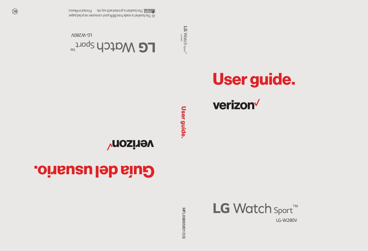MFL69865801 (1.0) MFL69865801 (1.0)



# Guía del usuario.

**Verizon<sup>V</sup>** 

**User guide.** User guide.

*LG-W280V*

LG Watch sport

verizon<sup>V</sup>

User guide.

*LG-W280V* **LG Watch sport<sup>TM</sup>** 

 This booklet is made from 86% post-consumer recycled paper. **This booklet is printed with soy ink.** Printed in Mexico

 $\circledcirc$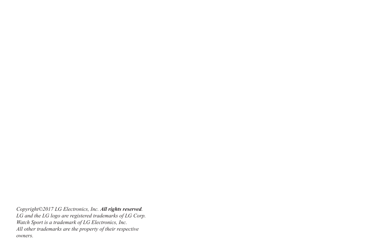*Copyright©2017 LG Electronics, Inc. All rights reserved. LG and the LG logo are registered trademarks of LG Corp. Watch Sport is a trademark of LG Electronics, Inc. All other trademarks are the property of their respective owners.*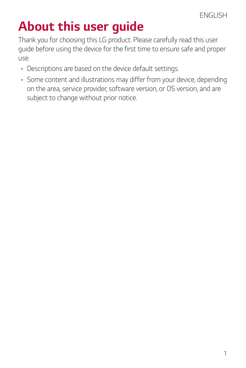### *About this user guide*

*Thank you for choosing this LG product. Please carefully read this user guide before using the device for the first time to ensure safe and proper use.*

- • *Descriptions are based on the device default settings.*
- • *Some content and illustrations may differ from your device, depending on the area, service provider, software version, or OS version, and are subject to change without prior notice.*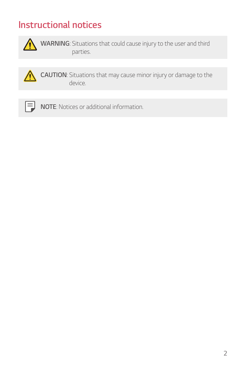#### *Instructional notices*



**WARNING**: Situations that could cause injury to the user and third *parties.*



*CAUTION: Situations that may cause minor injury or damage to the device.*



*NOTE: Notices or additional information.*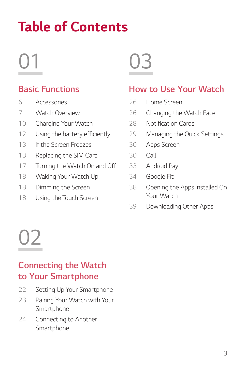### *Table of Contents*

## 

#### *[Basic Functions](#page-6-0)*

- *[Accessories](#page-7-0)*
- *[Watch Overview](#page-8-0)*
- *[Charging Your Watch](#page-11-0)*
- *[Using the battery efficiently](#page-13-0)*
- *[If the Screen Freezes](#page-14-0)*
- *[Replacing the SIM Card](#page-14-0)*
- *[Turning the Watch On and Off](#page-18-0)*
- *[Waking Your Watch Up](#page-19-0)*
- *[Dimming the Screen](#page-19-0)*
- *[Using the Touch Screen](#page-19-0)*

## 

#### *[How to Use Your Watch](#page-26-0)*

- *[Home Screen](#page-27-0)*
- *[Changing the Watch Face](#page-27-0)*
- *[Notification Cards](#page-29-0)*
- *[Managing the Quick Settings](#page-30-0)*
- *[Apps Screen](#page-31-0)*
- *[Call](#page-31-0)*
- *[Android Pay](#page-34-0)*
- *[Google Fit](#page-35-0)*
- *[Opening the Apps Installed On](#page-39-0)  [Your Watch](#page-39-0)*
- *[Downloading Other Apps](#page-40-0)*

## 

#### *[Connecting the Watch](#page-22-0)  [to Your Smartphone](#page-22-0)*

- *[Setting Up Your Smartphone](#page-23-0)*
- *[Pairing Your Watch with Your](#page-24-0)  [Smartphone](#page-24-0)*
- *[Connecting to Another](#page-25-0)  [Smartphone](#page-25-0)*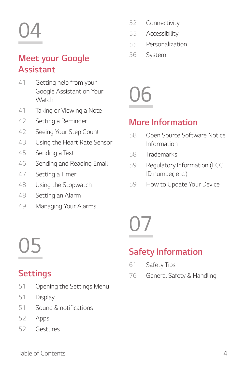# 

#### *[Meet your Google](#page-41-0)  [Assistant](#page-41-0)*

- *[Getting help from your](#page-42-0)  [Google Assistant on Your](#page-42-0)  [Watch](#page-42-0)*
- *[Taking or Viewing a Note](#page-42-0)*
- *[Setting a Reminder](#page-43-0)*
- *[Seeing Your Step Count](#page-43-0)*
- *[Using the Heart Rate Sensor](#page-44-0)*
- *[Sending a Text](#page-46-0)*
- *[Sending and Reading Email](#page-47-0)*
- *[Setting a Timer](#page-48-0)*
- *[Using the Stopwatch](#page-49-0)*
- *[Setting an Alarm](#page-49-0)*
- *[Managing Your Alarms](#page-50-0)*
- *[Connectivity](#page-53-0)*
- *[Accessibility](#page-56-0)*
- *[Personalization](#page-56-0)*
- *[System](#page-57-0)*



#### *[More Information](#page-58-0)*

- *[Open Source Software Notice](#page-59-0)  [Information](#page-59-0)*
- *[Trademarks](#page-59-0)*
- *[Regulatory Information \(FCC](#page-60-0)  [ID number, etc.\)](#page-60-0)*
- *[How to Update Your Device](#page-60-0)*

# 

#### *[Safety Information](#page-61-0)*

- *[Safety Tips](#page-62-0)*
- *[General Safety & Handling](#page-77-0)*

### *[Settings](#page-51-0)*

- *[Opening the Settings Menu](#page-52-0)*
- *[Display](#page-52-0)*
- *[Sound & notifications](#page-52-0)*
- *[Apps](#page-53-0)*
- *[Gestures](#page-53-0)*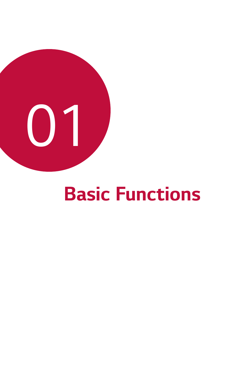<span id="page-6-0"></span>

## *Basic Functions*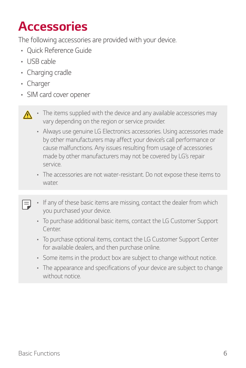### <span id="page-7-0"></span>*Accessories*

*The following accessories are provided with your device.*

- • *Quick Reference Guide*
- • *USB cable*
- • *Charging cradle*
- • *Charger*

冃

- • *SIM card cover opener*
- $\wedge$ The items supplied with the device and any available accessories may *vary depending on the region or service provider.*
	- • *Always use genuine LG Electronics accessories. Using accessories made by other manufacturers may affect your device's call performance or cause malfunctions. Any issues resulting from usage of accessories made by other manufacturers may not be covered by LG's repair service.*
	- • *The accessories are not water-resistant. Do not expose these items to water.*
	- • *If any of these basic items are missing, contact the dealer from which you purchased your device.*
		- • *To purchase additional basic items, contact the LG Customer Support Center.*
		- • *To purchase optional items, contact the LG Customer Support Center for available dealers, and then purchase online.*
		- • *Some items in the product box are subject to change without notice.*
		- • *The appearance and specifications of your device are subject to change without notice.*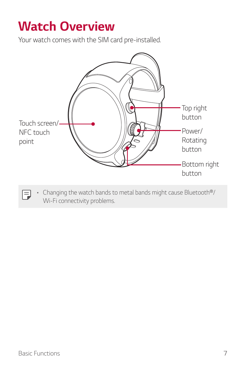### <span id="page-8-0"></span>*Watch Overview*

*Your watch comes with the SIM card pre-installed.*



Changing the watch bands to metal bands might cause Bluetooth<sup>®</sup>/ *Wi-Fi connectivity problems.*

 $\Box$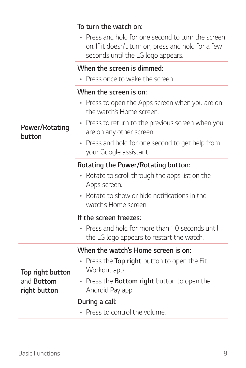|                                   | To turn the watch on:<br>Press and hold for one second to turn the screen<br>۰<br>on. If it doesn't turn on, press and hold for a few<br>seconds until the LG logo appears. |  |  |
|-----------------------------------|-----------------------------------------------------------------------------------------------------------------------------------------------------------------------------|--|--|
|                                   | When the screen is dimmed:                                                                                                                                                  |  |  |
|                                   | • Press once to wake the screen.                                                                                                                                            |  |  |
|                                   | When the screen is on:                                                                                                                                                      |  |  |
|                                   | • Press to open the Apps screen when you are on<br>the watch's Home screen.                                                                                                 |  |  |
| Power/Rotating<br>button          | • Press to return to the previous screen when you<br>are on any other screen.                                                                                               |  |  |
|                                   | • Press and hold for one second to get help from<br>your Google assistant.                                                                                                  |  |  |
|                                   | Rotating the Power/Rotating button:                                                                                                                                         |  |  |
|                                   | Rotate to scroll through the apps list on the<br>Apps screen.                                                                                                               |  |  |
|                                   | • Rotate to show or hide notifications in the<br>watch's Home screen.                                                                                                       |  |  |
|                                   | If the screen freezes:                                                                                                                                                      |  |  |
|                                   | • Press and hold for more than 10 seconds until<br>the LG logo appears to restart the watch.                                                                                |  |  |
| Top right button                  | When the watch's Home screen is on:                                                                                                                                         |  |  |
|                                   | Press the Top right button to open the Fit<br>Workout app.                                                                                                                  |  |  |
| and <b>Bottom</b><br>right button | • Press the <b>Bottom right</b> button to open the<br>Android Pay app.                                                                                                      |  |  |
|                                   | During a call:                                                                                                                                                              |  |  |
|                                   | • Press to control the volume.                                                                                                                                              |  |  |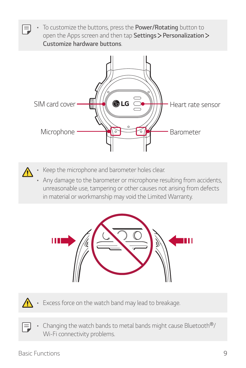• *To customize the buttons, press the Power/Rotating button to*  冃 *open the Apps screen and then tap Settings Personalization Customize hardware buttons.*





- • *Keep the microphone and barometer holes clear.*
- • *Any damage to the barometer or microphone resulting from accidents, unreasonable use, tampering or other causes not arising from defects in material or workmanship may void the Limited Warranty.*





- • *Excess force on the watch band may lead to breakage.*
- 冃 Changing the watch bands to metal bands might cause Bluetooth<sup>®</sup>/ *Wi-Fi connectivity problems.*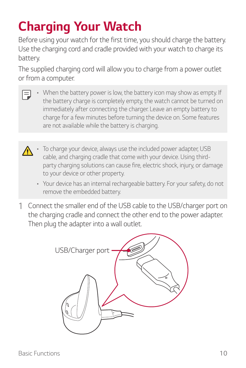### <span id="page-11-0"></span>*Charging Your Watch*

*Before using your watch for the first time, you should charge the battery. Use the charging cord and cradle provided with your watch to charge its battery.*

*The supplied charging cord will allow you to charge from a power outlet or from a computer.* 

- When the battery power is low, the battery icon may show as empty. If F *the battery charge is completely empty, the watch cannot be turned on immediately after connecting the charger. Leave an empty battery to charge for a few minutes before turning the device on. Some features are not available while the battery is charging.*
	- To charge your device, always use the included power adapter, USB ⋀ *cable, and charging cradle that come with your device. Using thirdparty charging solutions can cause fire, electric shock, injury, or damage to your device or other property.*
		- • *Your device has an internal rechargeable battery. For your safety, do not remove the embedded battery.*
- *1 Connect the smaller end of the USB cable to the USB/charger port on the charging cradle and connect the other end to the power adapter. Then plug the adapter into a wall outlet.*

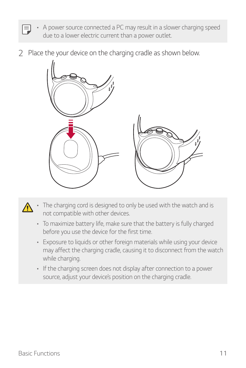- A power source connected a PC may result in a slower charging speed 冃 *due to a lower electric current than a power outlet.*
- *2 Place the your device on the charging cradle as shown below.*



- The charging cord is designed to only be used with the watch and is  $\bigwedge$ *not compatible with other devices.*
	- • *To maximize battery life, make sure that the battery is fully charged before you use the device for the first time.*
	- • *Exposure to liquids or other foreign materials while using your device may affect the charging cradle, causing it to disconnect from the watch while charging.*
	- • *If the charging screen does not display after connection to a power source, adjust your device's position on the charging cradle.*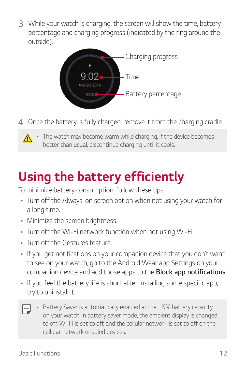<span id="page-13-0"></span>*3 While your watch is charging, the screen will show the time, battery percentage and charging progress (indicated by the ring around the outside).*



*4 Once the battery is fully charged, remove it from the charging cradle.*



### *Using the battery efficiently*

*To minimize battery consumption, follow these tips.*

- • *Turn off the Always-on screen option when not using your watch for a long time.*
- • *Minimize the screen brightness.*
- • *Turn off the Wi-Fi network function when not using Wi-Fi.*
- • *Turn off the Gestures feature.*
- • *If you get notifications on your companion device that you don't want to see on your watch, go to the Android Wear app Settings on your companion device and add those apps to the Block app notifications.*
- • *If you feel the battery life is short after installing some specific app, try to uninstall it.*
- • *Battery Saver is automatically enabled at the 15% battery capacity*  冃 *on your watch. In battery saver mode, the ambient display is changed to off, Wi-Fi is set to off, and the cellular network is set to off on the cellular network enabled devices.*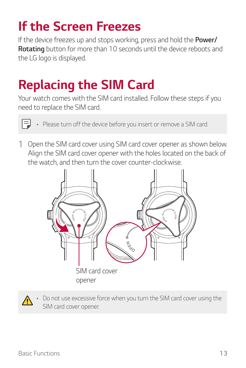### <span id="page-14-0"></span>*If the Screen Freezes*

*If the device freezes up and stops working, press and hold the Power/ Rotating button for more than 10 seconds until the device reboots and the LG logo is displayed.*

### *Replacing the SIM Card*

*Your watch comes with the SIM card installed. Follow these steps if you need to replace the SIM card.*



• *Please turn off the device before you insert or remove a SIM card.*

*1 Open the SIM card cover using SIM card cover opener as shown below. Align the SIM card cover opener with the holes located on the back of the watch, and then turn the cover counter-clockwise.*





Do not use excessive force when you turn the SIM card cover using the *SIM card cover opener.*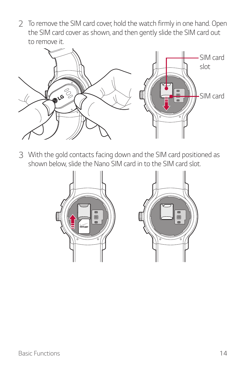*2 To remove the SIM card cover, hold the watch firmly in one hand. Open the SIM card cover as shown, and then gently slide the SIM card out to remove it.*



*3 With the gold contacts facing down and the SIM card positioned as shown below, slide the Nano SIM card in to the SIM card slot.*



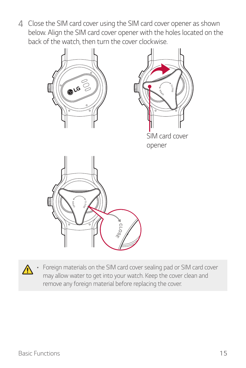*4 Close the SIM card cover using the SIM card cover opener as shown below. Align the SIM card cover opener with the holes located on the back of the watch, then turn the cover clockwise.*



• *Foreign materials on the SIM card cover sealing pad or SIM card cover may allow water to get into your watch. Keep the cover clean and remove any foreign material before replacing the cover.*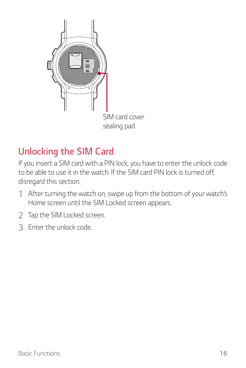

### *Unlocking the SIM Card*

If you insert a SIM card with a PIN lock, you have to enter the unlock code to be able to use it in the watch. If the SIM card PIN lock is turned off. *disregard this section.*

- *1 After turning the watch on, swipe up from the bottom of your watch's Home screen until the SIM Locked screen appears.*
- *2 Tap the SIM Locked screen.*
- *3 Enter the unlock code.*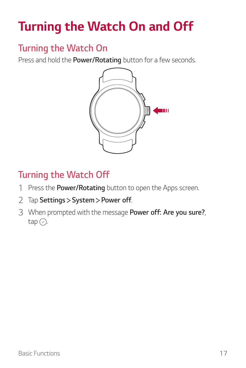### <span id="page-18-0"></span>*Turning the Watch On and Off*

#### *Turning the Watch On*

*Press and hold the Power/Rotating button for a few seconds.*



#### *Turning the Watch Off*

- *1 Press the Power/Rotating button to open the Apps screen.*
- *2 Tap Settings System Power off.*
- *3 When prompted with the message Power off: Are you sure?,*  $tan ($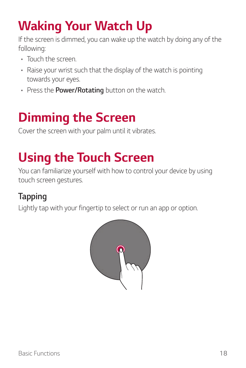### <span id="page-19-0"></span>*Waking Your Watch Up*

*If the screen is dimmed, you can wake up the watch by doing any of the following:*

- • *Touch the screen.*
- • *Raise your wrist such that the display of the watch is pointing towards your eyes.*
- • *Press the Power/Rotating button on the watch.*

### *Dimming the Screen*

*Cover the screen with your palm until it vibrates.*

### *Using the Touch Screen*

You can familiarize yourself with how to control your device by using *touch screen gestures.* 

### *Tapping*

*Lightly tap with your fingertip to select or run an app or option.*

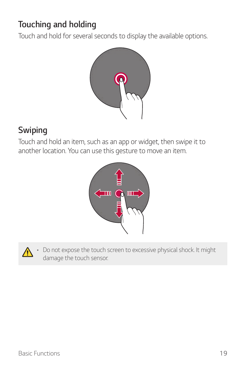#### *Touching and holding*

*Touch and hold for several seconds to display the available options.*



#### *Swiping*

*Touch and hold an item, such as an app or widget, then swipe it to another location. You can use this gesture to move an item.*





Do not expose the touch screen to excessive physical shock. It might *damage the touch sensor.*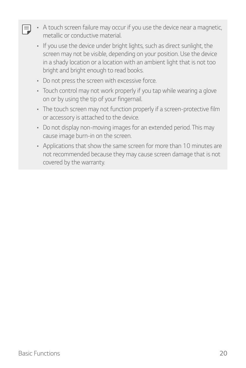- • *A touch screen failure may occur if you use the device near a magnetic, metallic or conductive material.*
	- • *If you use the device under bright lights, such as direct sunlight, the screen may not be visible, depending on your position. Use the device in a shady location or a location with an ambient light that is not too bright and bright enough to read books.*
	- • *Do not press the screen with excessive force.*
	- • *Touch control may not work properly if you tap while wearing a glove on or by using the tip of your fingernail.*
	- • *The touch screen may not function properly if a screen-protective film or accessory is attached to the device.*
	- • *Do not display non-moving images for an extended period. This may cause image burn-in on the screen.*
	- • *Applications that show the same screen for more than 10 minutes are not recommended because they may cause screen damage that is not covered by the warranty.*

冃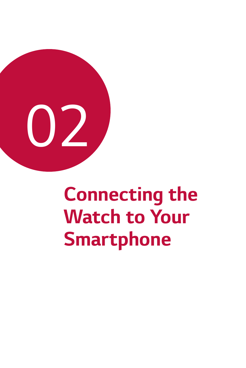<span id="page-22-0"></span>

## *Connecting the Watch to Your Smartphone*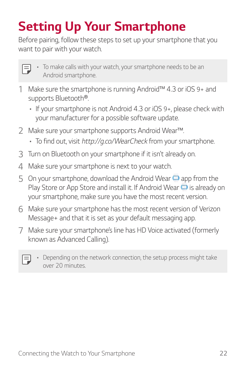### <span id="page-23-0"></span>*Setting Up Your Smartphone*

*Before pairing, follow these steps to set up your smartphone that you want to pair with your watch.*

| ×<br>۰ |
|--------|
|        |
|        |

- • *To make calls with your watch, your smartphone needs to be an Android smartphone.*
- *1 Make sure the smartphone is running Android™ 4.3 or iOS 9+ and supports Bluetooth®.*
	- • *If your smartphone is not Android 4.3 or iOS 9+, please check with your manufacturer for a possible software update.*
- *2 Make sure your smartphone supports Android Wear™.*
	- • *To find out, visit http://g.co/WearCheck from your smartphone.*
- *3 Turn on Bluetooth on your smartphone if it isn't already on.*
- *4 Make sure your smartphone is next to your watch.*
- **5** On your smartphone, download the Android Wear **□** app from the *Play Store or App Store and install it. If Android Wear is already on your smartphone, make sure you have the most recent version.*
- *6 Make sure your smartphone has the most recent version of Verizon Message+ and that it is set as your default messaging app.*
- *7 Make sure your smartphone's line has HD Voice activated (formerly known as Advanced Calling).*

|  | ____ |
|--|------|
|  |      |
|  |      |

• *Depending on the network connection, the setup process might take over 20 minutes.*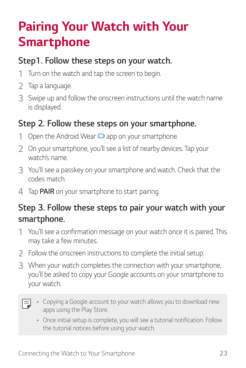### <span id="page-24-0"></span>*Pairing Your Watch with Your Smartphone*

#### *Step1. Follow these steps on your watch.*

- *1 Turn on the watch and tap the screen to begin.*
- *2 Tap a language.*
- *3 Swipe up and follow the onscreen instructions until the watch name is displayed.*

#### *Step 2. Follow these steps on your smartphone.*

- 1 Open the Android Wear **a** app on your smartphone.
- *2 On your smartphone, you'll see a list of nearby devices. Tap your watch's name.*
- *3 You'll see a passkey on your smartphone and watch. Check that the codes match.*
- *4 Tap PAIR on your smartphone to start pairing.*

#### *Step 3. Follow these steps to pair your watch with your smartphone.*

- *1 You'll see a confirmation message on your watch once it is paired. This may take a few minutes.*
- *2 Follow the onscreen instructions to complete the initial setup.*
- *3 When your watch completes the connection with your smartphone, you'll be asked to copy your Google accounts on your smartphone to your watch.*

- • *Copying a Google account to your watch allows you to download new apps using the Play Store.*
	- • *Once initial setup is complete, you will see a tutorial notification. Follow the tutorial notices before using your watch.*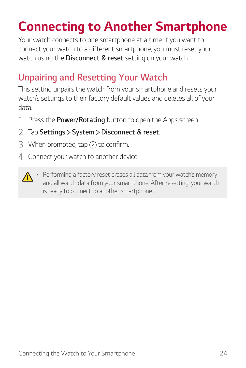### <span id="page-25-0"></span>*Connecting to Another Smartphone*

*Your watch connects to one smartphone at a time. If you want to connect your watch to a different smartphone, you must reset your watch using the Disconnect & reset setting on your watch.*

### *Unpairing and Resetting Your Watch*

*This setting unpairs the watch from your smartphone and resets your watch's settings to their factory default values and deletes all of your data.*

- *1 Press the Power/Rotating button to open the Apps screen*
- *2 Tap Settings System Disconnect & reset.*
- 3 When prompted, tap  $\oslash$  to confirm.
- *4 Connect your watch to another device.*



**•** Performing a factory reset erases all data from your watch's memory *and all watch data from your smartphone. After resetting, your watch is ready to connect to another smartphone.*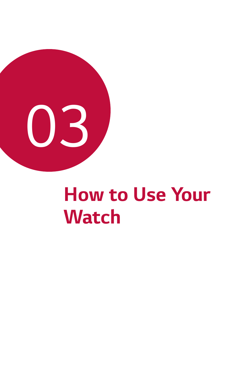<span id="page-26-0"></span>

## *How to Use Your Watch*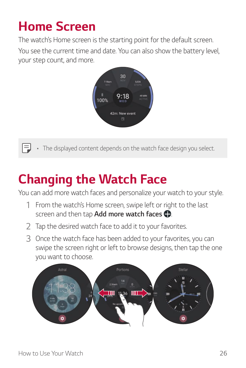### <span id="page-27-0"></span>*Home Screen*

*The watch's Home screen is the starting point for the default screen.*

*You see the current time and date. You can also show the battery level, your step count, and more.* 



冃 The displayed content depends on the watch face design you select.

### *Changing the Watch Face*

*You can add more watch faces and personalize your watch to your style.*

- *1 From the watch's Home screen, swipe left or right to the last screen and then tap Add more watch faces .*
- *2 Tap the desired watch face to add it to your favorites.*
- *3 Once the watch face has been added to your favorites, you can swipe the screen right or left to browse designs, then tap the one you want to choose.*

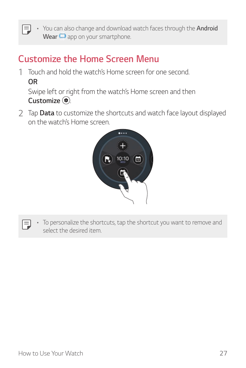• *You can also change and download watch faces through the Android Wear app on your smartphone.*

#### *Customize the Home Screen Menu*

*1 Touch and hold the watch's Home screen for one second. OR*

*Swipe left or right from the watch's Home screen and then Customize .*

*2 Tap Data to customize the shortcuts and watch face layout displayed on the watch's Home screen.*



- 冃
- To personalize the shortcuts, tap the shortcut you want to remove and *select the desired item.*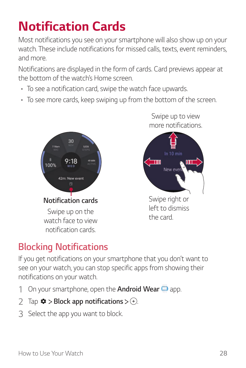### <span id="page-29-0"></span>*Notification Cards*

*Most notifications you see on your smartphone will also show up on your watch. These include notifications for missed calls, texts, event reminders, and more.*

*Notifications are displayed in the form of cards. Card previews appear at the bottom of the watch's Home screen.*

- • *To see a notification card, swipe the watch face upwards.*
- • *To see more cards, keep swiping up from the bottom of the screen.*



*Swipe up to view more notifications.*



*left to dismiss the card.*

### *Blocking Notifications*

*If you get notifications on your smartphone that you don't want to see on your watch, you can stop specific apps from showing their notifications on your watch.*

- *1 On your smartphone, open the Android Wear app.*
- *2*  $\pi$  *Tap*  $\Phi$  > Block app notifications >  $\rightarrow$   $\rightarrow$
- *3 Select the app you want to block.*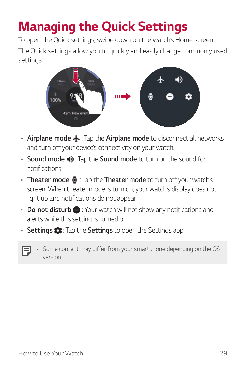### <span id="page-30-0"></span>*Managing the Quick Settings*

*To open the Quick settings, swipe down on the watch's Home screen. The Quick settings allow you to quickly and easily change commonly used settings.* 



- **Airplane mode**  $\blacktriangle$ : Tap the **Airplane mode** to disconnect all networks *and turn off your device's connectivity on your watch.*
- **Sound mode**  $\bullet$ : Tap the **Sound mode** to turn on the sound for *notifications.*
- • *Theater mode : Tap the Theater mode to turn off your watch's screen. When theater mode is turn on, your watch's display does not light up and notifications do not appear.*
- **Do not disturb :** Your watch will not show any notifications and *alerts while this setting is turned on.*
- • *Settings : Tap the Settings to open the Settings app.*
- 冃
- Some content may differ from your smartphone depending on the OS *version.*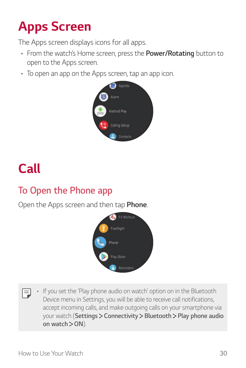### <span id="page-31-0"></span>*Apps Screen*

*The Apps screen displays icons for all apps.*

- • *From the watch's Home screen, press the Power/Rotating button to open to the Apps screen.*
- • *To open an app on the Apps screen, tap an app icon.*



### *Call*

### *To Open the Phone app*

*Open the Apps screen and then tap Phone.*



If you set the 'Play phone audio on watch' option on in the Bluetooth 冃 *Device menu in Settings, you will be able to receive call notifications, accept incoming calls, and make outgoing calls on your smartphone via your watch (Settings Connectivity Bluetooth Play phone audio on watch ON).*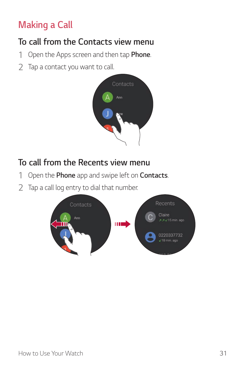### *Making a Call*

#### *To call from the Contacts view menu*

- *1 Open the Apps screen and then tap Phone.*
- *2 Tap a contact you want to call.*



#### *To call from the Recents view menu*

- *1 Open the Phone app and swipe left on Contacts.*
- *2 Tap a call log entry to dial that number.*

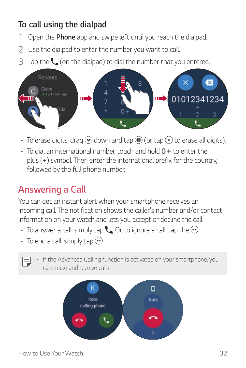#### *To call using the dialpad*

- *1 Open the Phone app and swipe left until you reach the dialpad.*
- *2 Use the dialpad to enter the number you want to call.*
- *3 Tap the (on the dialpad) to dial the number that you entered.*



- $\cdot$  To erase digits, drag  $\odot$  down and tap  $\bigcirc$  (or tap  $\otimes$  to erase all digits).
- $\cdot$  To dial an international number, touch and hold  $0 +$  to enter the *plus (+) symbol. Then enter the international prefix for the country, followed by the full phone number.*

#### *Answering a Call*

*You can get an instant alert when your smartphone receives an incoming call. The notification shows the caller's number and/or contact information on your watch and lets you accept or decline the call.* 

- To answer a call, simply tap  $\mathsf{L}$ . Or, to ignore a call, tap the  $\odot$ .
- $\cdot$  To end a call, simply tap  $\odot$ .
- If the Advanced Calling function is activated on your smartphone, you 冃 *can make and receive calls.*

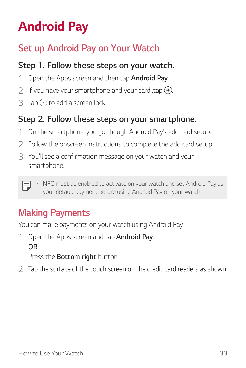### <span id="page-34-0"></span>*Android Pay*

### *Set up Android Pay on Your Watch*

#### *Step 1. Follow these steps on your watch.*

- *1 Open the Apps screen and then tap Android Pay.*
- 2 If you have your smartphone and your card ,tap  $\odot$ .
- 3 Tap  $\odot$  to add a screen lock.

#### *Step 2. Follow these steps on your smartphone.*

- *1 On the smartphone, you go though Android Pay's add card setup.*
- *2 Follow the onscreen instructions to complete the add card setup.*
- *3 You'll see a confirmation message on your watch and your smartphone.*
	- • *NFC must be enabled to activate on your watch and set Android Pay as*  F *your default payment before using Android Pay on your watch.*

### *Making Payments*

*You can make payments on your watch using Android Pay.* 

*1 Open the Apps screen and tap Android Pay. OR*

*Press the Bottom right button.*

*2 Tap the surface of the touch screen on the credit card readers as shown.*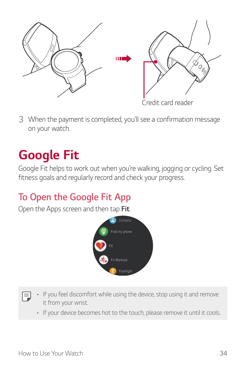<span id="page-35-0"></span>

*3 When the payment is completed, you'll see a confirmation message on your watch.*

### *Google Fit*

*Google Fit helps to work out when you're walking, jogging or cycling. Set fitness goals and regularly record and check your progress.* 

### *To Open the Google Fit App*

*Open the Apps screen and then tap Fit.*



- If you feel discomfort while using the device, stop using it and remove 冃 *it from your wrist.*
	- • *If your device becomes hot to the touch, please remove it until it cools.*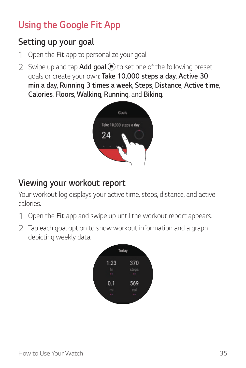## *Using the Google Fit App*

#### *Setting up your goal*

- *1 Open the Fit app to personalize your goal.*
- *2 Swipe up and tap Add goal to set one of the following preset goals or create your own: Take 10,000 steps a day, Active 30 min a day, Running 3 times a week, Steps, Distance, Active time, Calories, Floors, Walking, Running, and Biking.*



#### *Viewing your workout report*

*Your workout log displays your active time, steps, distance, and active calories.*

- *1 Open the Fit app and swipe up until the workout report appears.*
- *2 Tap each goal option to show workout information and a graph depicting weekly data.*

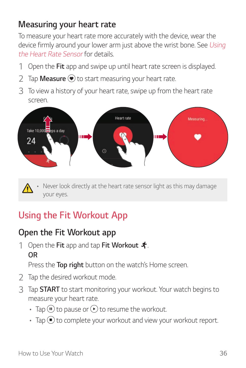#### *Measuring your heart rate*

*To measure your heart rate more accurately with the device, wear the device firmly around your lower arm just above the wrist bone. See [Using](#page-44-0)  [the Heart Rate Sensor](#page-44-0) for details.*

- *1 Open the Fit app and swipe up until heart rate screen is displayed.*
- *2 Tap Measure to start measuring your heart rate.*
- *3 To view a history of your heart rate, swipe up from the heart rate screen.*



Never look directly at the heart rate sensor light as this may damage *your eyes.*

## *Using the Fit Workout App*

#### *Open the Fit Workout app*

*1 Open the Fit app and tap Fit Workout . OR*

*Press the Top right button on the watch's Home screen.*

- *2 Tap the desired workout mode.*
- *3 Tap START to start monitoring your workout. Your watch begins to measure your heart rate.*
	- $\cdot$  Tap  $\circledR$  to pause or  $\circledR$  to resume the workout.
	- $\cdot$  Tap  $\left(\bullet\right)$  to complete your workout and view your workout report.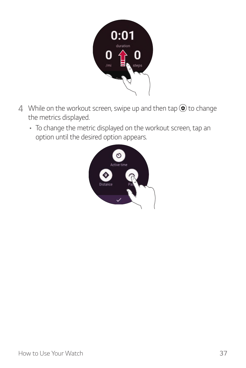

- 4 While on the workout screen, swipe up and then tap  $\circledast$  to change *the metrics displayed.*
	- • *To change the metric displayed on the workout screen, tap an option until the desired option appears.*

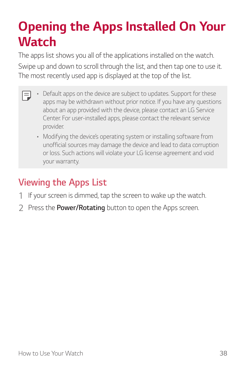## *Opening the Apps Installed On Your Watch*

*The apps list shows you all of the applications installed on the watch. Swipe up and down to scroll through the list, and then tap one to use it. The most recently used app is displayed at the top of the list.*

- 冃 • *Default apps on the device are subject to updates. Support for these apps may be withdrawn without prior notice. If you have any questions about an app provided with the device, please contact an LG Service Center. For user-installed apps, please contact the relevant service provider.*
	- • *Modifying the device's operating system or installing software from unofficial sources may damage the device and lead to data corruption or loss. Such actions will violate your LG license agreement and void your warranty.*

## *Viewing the Apps List*

- *1 If your screen is dimmed, tap the screen to wake up the watch.*
- *2 Press the Power/Rotating button to open the Apps screen.*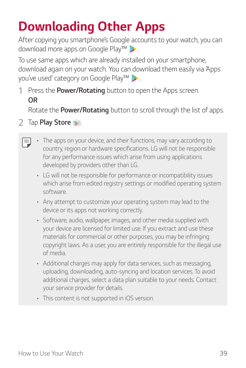# *Downloading Other Apps*

*After copying you smartphone's Google accounts to your watch, you can download more apps on Google Play™ .*

*To use same apps which are already installed on your smartphone, download again on your watch. You can download them easily via 'Apps you've used' category on Google Play™ .*

*1 Press the Power/Rotating button to open the Apps screen. OR*

*Rotate the Power/Rotating button to scroll through the list of apps.*

- *2 Tap Play Store .*
	- • *The apps on your device, and their functions, may vary according to*  冃 *country, region or hardware specifications. LG will not be responsible for any performance issues which arise from using applications developed by providers other than LG.*
		- • *LG will not be responsible for performance or incompatibility issues which arise from edited registry settings or modified operating system software.*
		- • *Any attempt to customize your operating system may lead to the device or its apps not working correctly.*
		- • *Software, audio, wallpaper, images, and other media supplied with your device are licensed for limited use. If you extract and use these*  materials for commercial or other purposes, you may be infringing *copyright laws. As a user, you are entirely responsible for the illegal use of media.*
		- • *Additional charges may apply for data services, such as messaging, uploading, downloading, auto-syncing and location services. To avoid additional charges, select a data plan suitable to your needs. Contact your service provider for details.*
		- • *This content is not supported in iOS version.*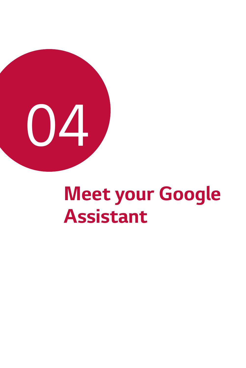

# *Meet your Google Assistant*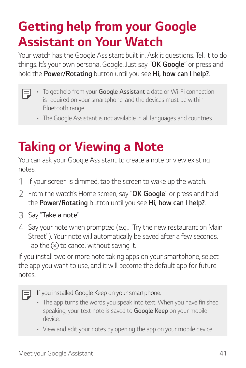# *Getting help from your Google Assistant on Your Watch*

Your watch has the Google Assistant built in. Ask it questions. Tell it to do *things. It's your own personal Google. Just say "OK Google" or press and hold the Power/Rotating button until you see Hi, how can I help?.*

- • *To get help from your Google Assistant a data or Wi-Fi connection is required on your smartphone, and the devices must be within Bluetooth range.*
	- • *The Google Assistant is not available in all languages and countries.*

# *Taking or Viewing a Note*

*You can ask your Google Assistant to create a note or view existing notes.*

- *1 If your screen is dimmed, tap the screen to wake up the watch.*
- *2 From the watch's Home screen, say "OK Google" or press and hold the Power/Rotating button until you see Hi, how can I help?.*
- *3 Say "Take a note".*
- *4 Say your note when prompted (e.g., "Try the new restaurant on Main Street"). Your note will automatically be saved after a few seconds.*  Tap the  $\left(\times\right)$  to cancel without saving it.

*If you install two or more note taking apps on your smartphone, select the app you want to use, and it will become the default app for future notes.*

*If you installed Google Keep on your smartphone:* 

- • *The app turns the words you speak into text. When you have finished speaking, your text note is saved to Google Keep on your mobile device.*
- • *View and edit your notes by opening the app on your mobile device.*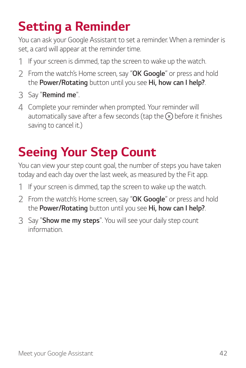# *Setting a Reminder*

*You can ask your Google Assistant to set a reminder. When a reminder is set, a card will appear at the reminder time.*

- *1 If your screen is dimmed, tap the screen to wake up the watch.*
- *2 From the watch's Home screen, say "OK Google" or press and hold the Power/Rotating button until you see Hi, how can I help?.*
- *3 Say "Remind me".*
- *4 Complete your reminder when prompted. Your reminder will*  automatically save after a few seconds (tap the  $\alpha$ ) before it finishes *saving to cancel it.)*

# *Seeing Your Step Count*

*You can view your step count goal, the number of steps you have taken today and each day over the last week, as measured by the Fit app.* 

- *1 If your screen is dimmed, tap the screen to wake up the watch.*
- *2 From the watch's Home screen, say "OK Google" or press and hold the Power/Rotating button until you see Hi, how can I help?.*
- *3 Say "Show me my steps". You will see your daily step count information.*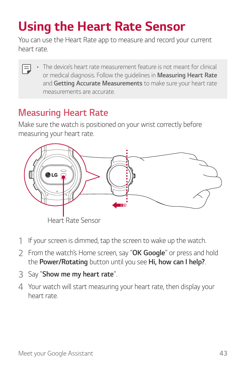# <span id="page-44-0"></span>*Using the Heart Rate Sensor*

*You can use the Heart Rate app to measure and record your current heart rate.*

• *The device's heart rate measurement feature is not meant for clinical*  冃 *or medical diagnosis. Follow the guidelines in Measuring Heart Rate and Getting Accurate Measurements to make sure your heart rate measurements are accurate.*

#### *Measuring Heart Rate*

*Make sure the watch is positioned on your wrist correctly before measuring your heart rate.*



*Heart Rate Sensor*

- *1 If your screen is dimmed, tap the screen to wake up the watch.*
- *2 From the watch's Home screen, say "OK Google" or press and hold the Power/Rotating button until you see Hi, how can I help?.*
- *3 Say "Show me my heart rate".*
- *4 Your watch will start measuring your heart rate, then display your heart rate.*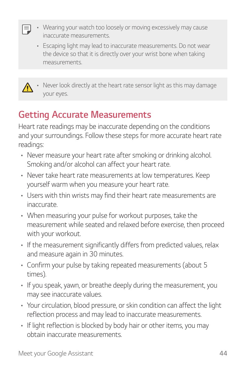- • *Wearing your watch too loosely or moving excessively may cause inaccurate measurements.*
	- • *Escaping light may lead to inaccurate measurements. Do not wear the device so that it is directly over your wrist bone when taking measurements.*



冃

Never look directly at the heart rate sensor light as this may damage *your eyes.*

### *Getting Accurate Measurements*

*Heart rate readings may be inaccurate depending on the conditions and your surroundings. Follow these steps for more accurate heart rate readings:*

- • *Never measure your heart rate after smoking or drinking alcohol. Smoking and/or alcohol can affect your heart rate.*
- • *Never take heart rate measurements at low temperatures. Keep yourself warm when you measure your heart rate.*
- • *Users with thin wrists may find their heart rate measurements are inaccurate.*
- • *When measuring your pulse for workout purposes, take the measurement while seated and relaxed before exercise, then proceed with your workout.*
- • *If the measurement significantly differs from predicted values, relax and measure again in 30 minutes.*
- • *Confirm your pulse by taking repeated measurements (about 5 times).*
- • *If you speak, yawn, or breathe deeply during the measurement, you may see inaccurate values.*
- • *Your circulation, blood pressure, or skin condition can affect the light reflection process and may lead to inaccurate measurements.*
- • *If light reflection is blocked by body hair or other items, you may obtain inaccurate measurements.*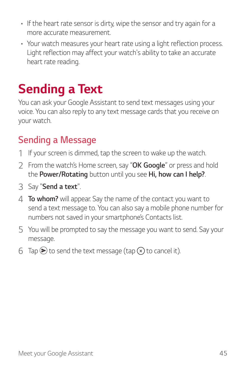- • *If the heart rate sensor is dirty, wipe the sensor and try again for a more accurate measurement.*
- • *Your watch measures your heart rate using a light reflection process. Light reflection may affect your watch's ability to take an accurate heart rate reading.*

## *Sending a Text*

*You can ask your Google Assistant to send text messages using your voice. You can also reply to any text message cards that you receive on your watch.* 

#### *Sending a Message*

- *1 If your screen is dimmed, tap the screen to wake up the watch.*
- *2 From the watch's Home screen, say "OK Google" or press and hold the Power/Rotating button until you see Hi, how can I help?.*
- *3 Say "Send a text".*
- *4 To whom? will appear. Say the name of the contact you want to send a text message to. You can also say a mobile phone number for numbers not saved in your smartphone's Contacts list.*
- *5 You will be prompted to say the message you want to send. Say your message.*
- $6$  Tap  $\odot$  to send the text message (tap  $\odot$ ) to cancel it).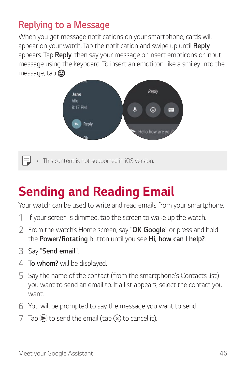#### *Replying to a Message*

When you get message notifications on your smartphone, cards will appear on your watch. Tap the notification and swipe up until **Reply** *appears. Tap Reply, then say your message or insert emoticons or input message using the keyboard. To insert an emoticon, like a smiley, into the*  message, tap  $\bigodot$ .



• *This content is not supported in iOS version.*

## *Sending and Reading Email*

*Your watch can be used to write and read emails from your smartphone.*

- *1 If your screen is dimmed, tap the screen to wake up the watch.*
- *2 From the watch's Home screen, say "OK Google" or press and hold the Power/Rotating button until you see Hi, how can I help?.*
- *3 Say "Send email".*

冃

- *4 To whom? will be displayed.*
- *5 Say the name of the contact (from the smartphone's Contacts list) you want to send an email to. If a list appears, select the contact you want.*
- *6 You will be prompted to say the message you want to send.*
- *7*  $\text{Tan}$   $\text{Ob}$  to send the email (tap  $\text{Ob}$  to cancel it).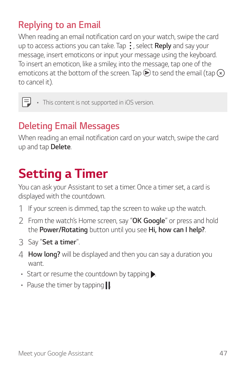#### *Replying to an Email*

*When reading an email notification card on your watch, swipe the card up to access actions you can take. Tap , select Reply and say your message, insert emoticons or input your message using the keyboard. To insert an emoticon, like a smiley, into the message, tap one of the*  emoticons at the bottom of the screen. Tap  $\blacktriangleright$  to send the email (tap  $\curvearrowright$ ) *to cancel it).*

 $\boxed{=}$  • This content is not supported in iOS version.

### *Deleting Email Messages*

*When reading an email notification card on your watch, swipe the card up and tap Delete.*

## *Setting a Timer*

*You can ask your Assistant to set a timer. Once a timer set, a card is displayed with the countdown.* 

- *1 If your screen is dimmed, tap the screen to wake up the watch.*
- *2 From the watch's Home screen, say "OK Google" or press and hold the Power/Rotating button until you see Hi, how can I help?.*
- *3 Say "Set a timer".*
- *4 How long? will be displayed and then you can say a duration you want.*
- Start or resume the countdown by tapping  $\blacktriangleright$ .
- Pause the timer by tapping **.**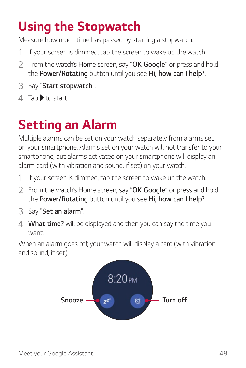# *Using the Stopwatch*

*Measure how much time has passed by starting a stopwatch.* 

- *1 If your screen is dimmed, tap the screen to wake up the watch.*
- *2 From the watch's Home screen, say "OK Google" or press and hold the Power/Rotating button until you see Hi, how can I help?.*
- *3 Say "Start stopwatch".*
- *4 Tap to start.*

## *Setting an Alarm*

*Multiple alarms can be set on your watch separately from alarms set on your smartphone. Alarms set on your watch will not transfer to your smartphone, but alarms activated on your smartphone will display an alarm card (with vibration and sound, if set) on your watch.*

- *1 If your screen is dimmed, tap the screen to wake up the watch.*
- *2 From the watch's Home screen, say "OK Google" or press and hold the Power/Rotating button until you see Hi, how can I help?.*
- *3 Say "Set an alarm".*
- *4 What time? will be displayed and then you can say the time you want.*

*When an alarm goes off, your watch will display a card (with vibration and sound, if set).*

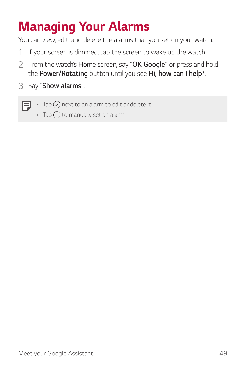# *Managing Your Alarms*

*You can view, edit, and delete the alarms that you set on your watch.*

- *1 If your screen is dimmed, tap the screen to wake up the watch.*
- *2 From the watch's Home screen, say "OK Google" or press and hold the Power/Rotating button until you see Hi, how can I help?.*
- *3 Say "Show alarms".*
	- 冃  $\cdot$  Tap  $\widehat{\left(\right)}$  next to an alarm to edit or delete it.
		- Tap  $\left( +\right)$  to manually set an alarm.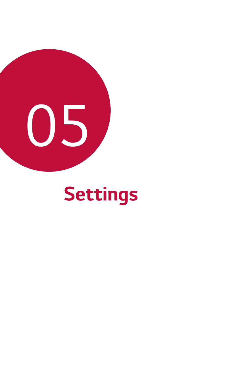

# *Settings*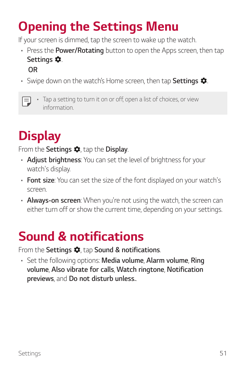## *Opening the Settings Menu*

*If your screen is dimmed, tap the screen to wake up the watch.*

- • *Press the Power/Rotating button to open the Apps screen, then tap Settings . OR*
- Swipe down on the watch's Home screen, then tap **Settings**  $\bullet$ .
- Tap a setting to turn it on or off, open a list of choices, or view 冃 *information.*

## *Display*

*From the Settings*  $\clubsuit$ , tap the **Display**.

- • *Adjust brightness: You can set the level of brightness for your watch's display.*
- • *Font size: You can set the size of the font displayed on your watch's screen.*
- • *Always-on screen: When you're not using the watch, the screen can either turn off or show the current time, depending on your settings.*

## *Sound & notifications*

*From the Settings*  $\bullet$ , tap *Sound & notifications*.

• *Set the following options: Media volume, Alarm volume, Ring volume, Also vibrate for calls, Watch ringtone, Notification previews, and Do not disturb unless..*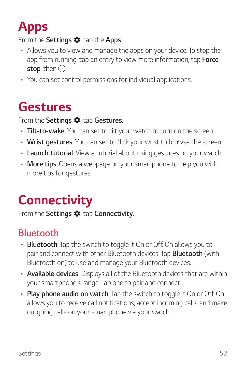# *Apps*

#### *From the Settings*  $\bullet$ *, tap the Apps.*

- • *Allows you to view and manage the apps on your device. To stop the*  app from running, tap an entry to view more information, tap **Force** *stop*, then  $\odot$ .
- • *You can set control permissions for individual applications.*

## *Gestures*

*From the Settings*  $\bullet$ *, tap Gestures.* 

- • *Tilt-to-wake: You can set to tilt your watch to turn on the screen.*
- • *Wrist gestures: You can set to flick your wrist to browse the screen.*
- • *Launch tutorial: View a tutorial about using gestures on your watch.*
- • *More tips: Opens a webpage on your smartphone to help you with more tips for gestures.*

## *Connectivity*

*From the Settings*  $\bullet$ , tap **Connectivity**.

### *Bluetooth*

- • *Bluetooth: Tap the switch to toggle it On or Off. On allows you to pair and connect with other Bluetooth devices. Tap Bluetooth (with Bluetooth on) to use and manage your Bluetooth devices.*
- • *Available devices: Displays all of the Bluetooth devices that are within your smartphone's range. Tap one to pair and connect.*
- • *Play phone audio on watch: Tap the switch to toggle it On or Off. On allows you to receive call notifications, accept incoming calls, and make outgoing calls on your smartphone via your watch.*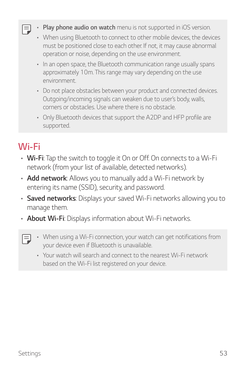- • *Play phone audio on watch menu is not supported in iOS version.*
- • *When using Bluetooth to connect to other mobile devices, the devices must be positioned close to each other. If not, it may cause abnormal operation or noise, depending on the use environment.*
- • *In an open space, the Bluetooth communication range usually spans approximately 10m. This range may vary depending on the use environment.*
- • *Do not place obstacles between your product and connected devices. Outgoing/incoming signals can weaken due to user's body, walls, corners or obstacles. Use where there is no obstacle.*
- • *Only Bluetooth devices that support the A2DP and HFP profile are supported.*

### *Wi-Fi*

冃

- • *Wi-Fi: Tap the switch to toggle it On or Off. On connects to a Wi-Fi network (from your list of available, detected networks).*
- • *Add network: Allows you to manually add a Wi-Fi network by entering its name (SSID), security, and password.*
- • *Saved networks: Displays your saved Wi-Fi networks allowing you to manage them.*
- • *About Wi-Fi: Displays information about Wi-Fi networks.*
- 冃 • *When using a Wi-Fi connection, your watch can get notifications from your device even if Bluetooth is unavailable.*
	- • *Your watch will search and connect to the nearest Wi-Fi network based on the Wi-Fi list registered on your device.*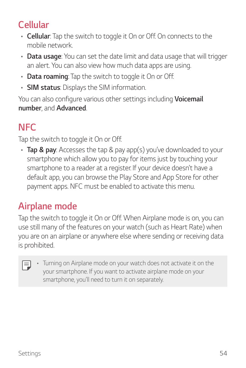#### *Cellular*

- • *Cellular: Tap the switch to toggle it On or Off. On connects to the mobile network.*
- • *Data usage: You can set the date limit and data usage that will trigger an alert. You can also view how much data apps are using.*
- • *Data roaming: Tap the switch to toggle it On or Off.*
- • *SIM status: Displays the SIM information.*

*You can also configure various other settings including Voicemail number, and Advanced.*

## *NFC*

*Tap the switch to toggle it On or Off.* 

• *Tap & pay: Accesses the tap & pay app(s) you've downloaded to your smartphone which allow you to pay for items just by touching your smartphone to a reader at a register. If your device doesn't have a default app, you can browse the Play Store and App Store for other payment apps. NFC must be enabled to activate this menu.*

## *Airplane mode*

*Tap the switch to toggle it On or Off. When Airplane mode is on, you can use still many of the features on your watch (such as Heart Rate) when you are on an airplane or anywhere else where sending or receiving data is prohibited.*

|  | • Turning on Airplane mode on your watch does not activate it on the |
|--|----------------------------------------------------------------------|
|  | your smartphone. If you want to activate airplane mode on your       |
|  | smartphone, you'll need to turn it on separately.                    |

F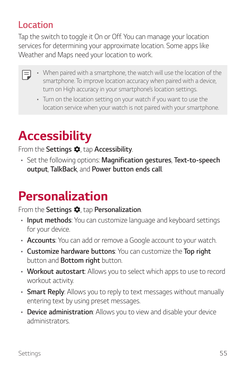#### *Location*

*Tap the switch to toggle it On or Off. You can manage your location services for determining your approximate location. Some apps like Weather and Maps need your location to work.*

- When paired with a smartphone, the watch will use the location of the *smartphone. To improve location accuracy when paired with a device, turn on High accuracy in your smartphone's location settings.*
	- • *Turn on the location setting on your watch if you want to use the location service when your watch is not paired with your smartphone.*

## *Accessibility*

*From the Settings*  $\bullet$ , tap **Accessibility**.

• *Set the following options: Magnification gestures, Text-to-speech output, TalkBack, and Power button ends call.*

## *Personalization*

*From the Settings*  $\bullet$ , tap **Personalization**.

- • *Input methods: You can customize language and keyboard settings for your device.*
- • *Accounts: You can add or remove a Google account to your watch.*
- • *Customize hardware buttons: You can customize the Top right button and Bottom right button.*
- • *Workout autostart: Allows you to select which apps to use to record workout activity.*
- • *Smart Reply: Allows you to reply to text messages without manually entering text by using preset messages.*
- • *Device administration: Allows you to view and disable your device administrators.*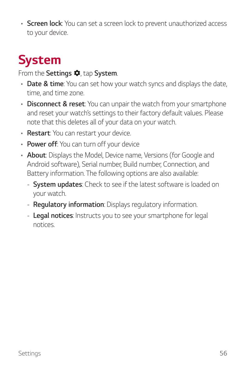• *Screen lock: You can set a screen lock to prevent unauthorized access to your device.*

# *System*

#### *From the Settings*  $\bullet$ *. tap System.*

- • *Date & time: You can set how your watch syncs and displays the date, time, and time zone.*
- • *Disconnect & reset: You can unpair the watch from your smartphone and reset your watch's settings to their factory default values. Please note that this deletes all of your data on your watch.*
- • *Restart: You can restart your device.*
- • *Power off: You can turn off your device*
- • *About: Displays the Model, Device name, Versions (for Google and Android software), Serial number, Build number, Connection, and Battery information. The following options are also available:*
	- *- System updates: Check to see if the latest software is loaded on your watch.*
	- *- Regulatory information: Displays regulatory information.*
	- *- Legal notices: Instructs you to see your smartphone for legal notices.*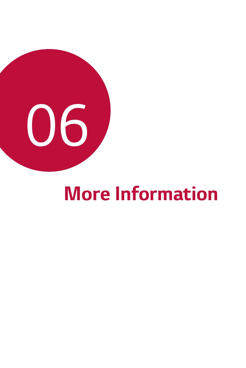

# *More Information*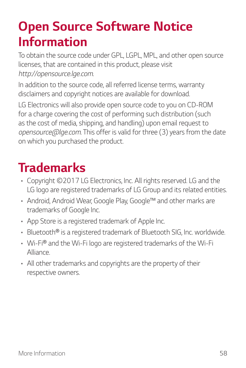## *Open Source Software Notice Information*

*To obtain the source code under GPL, LGPL, MPL, and other open source licenses, that are contained in this product, please visit http://opensource.lge.com.* 

*In addition to the source code, all referred license terms, warranty disclaimers and copyright notices are available for download.*

LG Electronics will also provide open source code to you on CD-ROM *for a charge covering the cost of performing such distribution (such as the cost of media, shipping, and handling) upon email request to opensource@lge.com. This offer is valid for three (3) years from the date on which you purchased the product.*

## *Trademarks*

- • *Copyright ©2017 LG Electronics, Inc. All rights reserved. LG and the LG logo are registered trademarks of LG Group and its related entities.*
- • *Android, Android Wear, Google Play, Google™ and other marks are trademarks of Google Inc.*
- • *App Store is a registered trademark of Apple Inc.*
- • *Bluetooth® is a registered trademark of Bluetooth SIG, Inc. worldwide.*
- • *Wi-Fi® and the Wi-Fi logo are registered trademarks of the Wi-Fi Alliance.*
- • *All other trademarks and copyrights are the property of their respective owners.*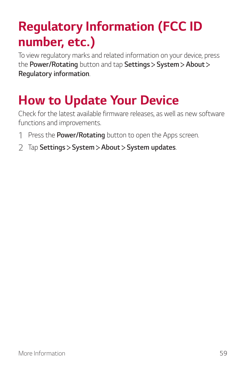# *Regulatory Information (FCC ID number, etc.)*

*To view regulatory marks and related information on your device, press the Power/Rotating button and tap Settings System About Regulatory information.*

## *How to Update Your Device*

*Check for the latest available firmware releases, as well as new software functions and improvements.*

- *1 Press the Power/Rotating button to open the Apps screen.*
- *2 Tap Settings System About System updates.*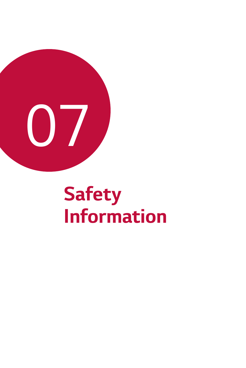

# *Safety Information*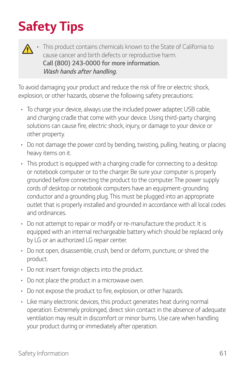# *Safety Tips*



This product contains chemicals known to the State of California to *cause cancer and birth defects or reproductive harm. Call (800) 243-0000 for more information. Wash hands after handling.*

*To avoid damaging your product and reduce the risk of fire or electric shock, explosion, or other hazards, observe the following safety precautions:*

- • *To charge your device, always use the included power adapter, USB cable,*  and charging cradle that come with your device. Using third-party charging *solutions can cause fire, electric shock, injury, or damage to your device or other property.*
- • *Do not damage the power cord by bending, twisting, pulling, heating, or placing heavy items on it.*
- • *This product is equipped with a charging cradle for connecting to a desktop or notebook computer or to the charger. Be sure your computer is properly grounded before connecting the product to the computer. The power supply cords of desktop or notebook computers have an equipment-grounding conductor and a grounding plug. This must be plugged into an appropriate outlet that is properly installed and grounded in accordance with all local codes and ordinances.*
- • *Do not attempt to repair or modify or re-manufacture the product. It is*  equipped with an internal rechargeable battery which should be replaced only *by LG or an authorized LG repair center.*
- • *Do not open, disassemble, crush, bend or deform, puncture, or shred the product.*
- • *Do not insert foreign objects into the product.*
- • *Do not place the product in a microwave oven.*
- • *Do not expose the product to fire, explosion, or other hazards.*
- • *Like many electronic devices, this product generates heat during normal operation. Extremely prolonged, direct skin contact in the absence of adequate ventilation may result in discomfort or minor burns. Use care when handling your product during or immediately after operation.*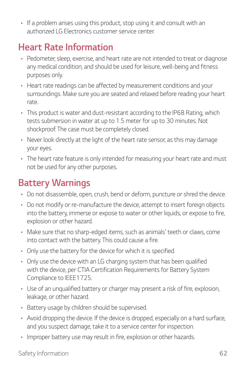• *If a problem arises using this product, stop using it and consult with an authorized LG Electronics customer service center.*

### *Heart Rate Information*

- • *Pedometer, sleep, exercise, and heart rate are not intended to treat or diagnose any medical condition, and should be used for leisure, well-being and fitness purposes only.*
- • *Heart rate readings can be affected by measurement conditions and your surroundings. Make sure you are seated and relaxed before reading your heart rate.*
- • *This product is water and dust-resistant according to the IP68 Rating, which tests submersion in water at up to 1.5 meter for up to 30 minutes. Not shockproof. The case must be completely closed.*
- • *Never look directly at the light of the heart rate sensor, as this may damage your eyes.*
- • *The heart rate feature is only intended for measuring your heart rate and must not be used for any other purposes.*

### *Battery Warnings*

- • *Do not disassemble, open, crush, bend or deform, puncture or shred the device.*
- • *Do not modify or re-manufacture the device, attempt to insert foreign objects into the battery, immerse or expose to water or other liquids, or expose to fire, explosion or other hazard.*
- • *Make sure that no sharp-edged items, such as animals' teeth or claws, come into contact with the battery. This could cause a fire.*
- • *Only use the battery for the device for which it is specified.*
- • *Only use the device with an LG charging system that has been qualified*  with the device, per CTIA Certification Requirements for Battery System *Compliance to IEEE1725.*
- • *Use of an unqualified battery or charger may present a risk of fire, explosion, leakage, or other hazard.*
- • *Battery usage by children should be supervised.*
- • *Avoid dropping the device. If the device is dropped, especially on a hard surface, and you suspect damage, take it to a service center for inspection.*
- • *Improper battery use may result in fire, explosion or other hazards.*

*Safety Information 62*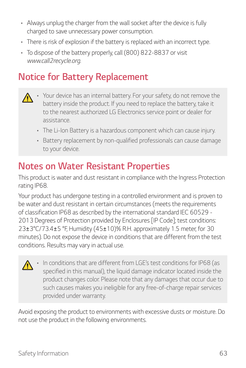- • *Always unplug the charger from the wall socket after the device is fully charged to save unnecessary power consumption.*
- • *There is risk of explosion if the battery is replaced with an incorrect type.*
- • *To dispose of the battery properly, call (800) 822-8837 or visit www.call2recycle.org.*

### *Notice for Battery Replacement*

- • *Your device has an internal battery. For your safety, do not remove the*   $\bigwedge$ battery inside the product. If you need to replace the battery, take it *to the nearest authorized LG Electronics service point or dealer for assistance.*
	- • *The Li-Ion Battery is a hazardous component which can cause injury.*
	- • *Battery replacement by non-qualified professionals can cause damage to your device.*

#### *Notes on Water Resistant Properties*

*This product is water and dust resistant in compliance with the Ingress Protection rating IP68.*

*Your product has undergone testing in a controlled environment and is proven to be water and dust resistant in certain circumstances (meets the requirements of classification IP68 as described by the international standard IEC 60529 - 2013 Degrees of Protection provided by Enclosures [IP Code]; test conditions: 23±3°C/73.4±5 °F, Humidity (45±10)% R.H. approximately 1.5 meter, for 30 minutes). Do not expose the device in conditions that are different from the test conditions. Results may vary in actual use.* 

• *In conditions that are different from LGE's test conditions for IP68 (as*   $\bigwedge$ specified in this manual), the liquid damage indicator located inside the *product changes color. Please note that any damages that occur due to such causes makes you ineligible for any free-of-charge repair services provided under warranty.*

*Avoid exposing the product to environments with excessive dusts or moisture. Do not use the product in the following environments.*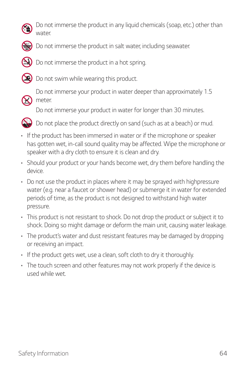

*Do not immerse the product in any liquid chemicals (soap, etc.) other than water.* 



**S** Do not immerse the product in salt water, including seawater.



*Do not immerse the product in a hot spring.* 



 $\left( \sum_{n=1}^{\infty} a_n \right)$  Do not swim while wearing this product.



**SOAP** *Do not immerse your product in water deeper than approximately 1.5 meter.*

Do not immerse your product in water for longer than 30 minutes.



*Do not place the product directly on sand (such as at a beach) or mud.* 

- • *If the product has been immersed in water or if the microphone or speaker*  has gotten wet, in-call sound quality may be affected. Wipe the microphone or *speaker with a dry cloth to ensure it is clean and dry.*
- • *Should your product or your hands become wet, dry them before handling the device.*
- • *Do not use the product in places where it may be sprayed with highpressure water (e.g. near a faucet or shower head) or submerge it in water for extended periods of time, as the product is not designed to withstand high water pressure.*
- • *This product is not resistant to shock. Do not drop the product or subject it to shock. Doing so might damage or deform the main unit, causing water leakage.*
- • *The product's water and dust resistant features may be damaged by dropping or receiving an impact.*
- • *If the product gets wet, use a clean, soft cloth to dry it thoroughly.*
- • *The touch screen and other features may not work properly if the device is used while wet.*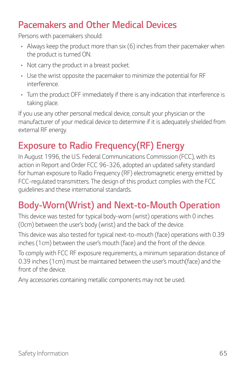#### *Pacemakers and Other Medical Devices*

*Persons with pacemakers should:*

- • *Always keep the product more than six (6) inches from their pacemaker when the product is turned ON.*
- • *Not carry the product in a breast pocket.*
- • *Use the wrist opposite the pacemaker to minimize the potential for RF interference.*
- • *Turn the product OFF immediately if there is any indication that interference is taking place.*

*If you use any other personal medical device, consult your physician or the manufacturer of your medical device to determine if it is adequately shielded from external RF energy.*

#### *Exposure to Radio Frequency(RF) Energy*

*In August 1996, the U.S. Federal Communications Commission (FCC), with its action in Report and Order FCC 96-326, adopted an updated safety standard for human exposure to Radio Frequency (RF) electromagnetic energy emitted by FCC-regulated transmitters. The design of this product complies with the FCC guidelines and these international standards.*

#### *Body-Worn(Wrist) and Next-to-Mouth Operation*

*This device was tested for typical body-worn (wrist) operations with 0 inches (0cm) between the user's body (wrist) and the back of the device.*

*This device was also tested for typical next-to-mouth (face) operations with 0.39 inches (1cm) between the user's mouth (face) and the front of the device.*

*To comply with FCC RF exposure requirements, a minimum separation distance of 0.39 inches (1cm) must be maintained between the user's mouth(face) and the front of the device.*

*Any accessories containing metallic components may not be used.*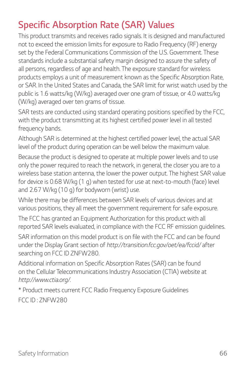### *Specific Absorption Rate (SAR) Values*

*This product transmits and receives radio signals. It is designed and manufactured not to exceed the emission limits for exposure to Radio Frequency (RF) energy set by the Federal Communications Commission of the U.S. Government. These standards include a substantial safety margin designed to assure the safety of all persons, regardless of age and health. The exposure standard for wireless products employs a unit of measurement known as the Specific Absorption Rate,*  or SAR. In the United States and Canada, the SAR limit for wrist watch used by the *public is 1.6 watts/kg (W/kg) averaged over one gram of tissue, or 4.0 watts/kg (W/kg) averaged over ten grams of tissue.*

*SAR tests are conducted using standard operating positions specified by the FCC,*  with the product transmitting at its highest certified power level in all tested *frequency bands.*

*Although SAR is determined at the highest certified power level, the actual SAR level of the product during operation can be well below the maximum value.*

*Because the product is designed to operate at multiple power levels and to use only the power required to reach the network, in general, the closer you are to a wireless base station antenna, the lower the power output. The highest SAR value*  for device is 0.68 W/kg (1 g) when tested for use at next-to-mouth (face) level *and 2.67 W/kg (10 g) for bodyworn (wrist) use.*

*While there may be differences between SAR levels of various devices and at various positions, they all meet the government requirement for safe exposure.*

*The FCC has granted an Equipment Authorization for this product with all reported SAR levels evaluated, in compliance with the FCC RF emission guidelines.* SAR information on this model product is on file with the FCC and can be found

*under the Display Grant section of http://transition.fcc.gov/oet/ea/fccid/ after searching on FCC ID ZNFW280.*

*Additional information on Specific Absorption Rates (SAR) can be found on the Cellular Telecommunications Industry Association (CTIA) website at http://www.ctia.org/.*

*\* Product meets current FCC Radio Frequency Exposure Guidelines FCC ID : ZNFW280*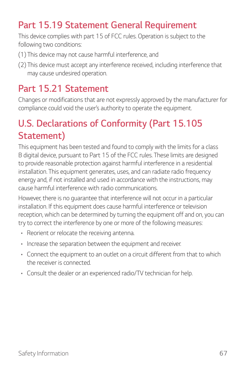#### *Part 15.19 Statement General Requirement*

*This device complies with part 15 of FCC rules. Operation is subject to the following two conditions:*

- *(1) This device may not cause harmful interference, and*
- *(2) This device must accept any interference received, including interference that may cause undesired operation.*

#### *Part 15.21 Statement*

*Changes or modifications that are not expressly approved by the manufacturer for compliance could void the user's authority to operate the equipment.*

## *U.S. Declarations of Conformity (Part 15.105 Statement)*

*This equipment has been tested and found to comply with the limits for a class B digital device, pursuant to Part 15 of the FCC rules. These limits are designed to provide reasonable protection against harmful interference in a residential installation. This equipment generates, uses, and can radiate radio frequency energy and, if not installed and used in accordance with the instructions, may cause harmful interference with radio communications.* 

However, there is no quarantee that interference will not occur in a particular *installation. If this equipment does cause harmful interference or television*  reception, which can be determined by turning the equipment off and on, you can *try to correct the interference by one or more of the following measures:*

- • *Reorient or relocate the receiving antenna.*
- • *Increase the separation between the equipment and receiver.*
- • *Connect the equipment to an outlet on a circuit different from that to which the receiver is connected.*
- • *Consult the dealer or an experienced radio/TV technician for help.*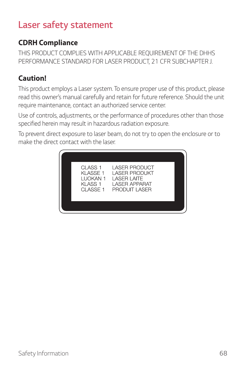#### *Laser safety statement*

#### **CDRH Compliance**

*THIS PRODUCT COMPLIES WITH APPLICABLE REQUIREMENT OF THE DHHS PERFORMANCE STANDARD FOR LASER PRODUCT, 21 CFR SUBCHAPTER J.*

#### **Caution!**

*This product employs a Laser system. To ensure proper use of this product, please*  read this owner's manual carefully and retain for future reference. Should the unit *require maintenance, contact an authorized service center.*

*Use of controls, adjustments, or the performance of procedures other than those specified herein may result in hazardous radiation exposure.*

*To prevent direct exposure to laser beam, do not try to open the enclosure or to make the direct contact with the laser.*

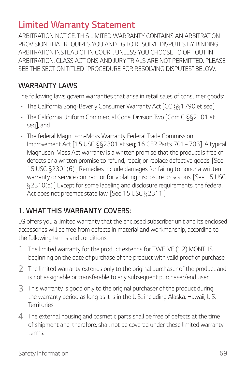#### *Limited Warranty Statement*

*ARBITRATION NOTICE: THIS LIMITED WARRANTY CONTAINS AN ARBITRATION PROVISION THAT REQUIRES YOU AND LG TO RESOLVE DISPUTES BY BINDING*  ARBITRATION INSTEAD OF IN COURT, UNLESS YOU CHOOSE TO OPT OUT. IN *ARBITRATION, CLASS ACTIONS AND JURY TRIALS ARE NOT PERMITTED. PLEASE SEE THE SECTION TITLED "PROCEDURE FOR RESOLVING DISPUTES" BELOW.*

#### *WARRANTY LAWS*

*The following laws govern warranties that arise in retail sales of consumer goods:*

- • *The California Song-Beverly Consumer Warranty Act [CC §§1790 et seq],*
- • *The California Uniform Commercial Code, Division Two [Com C §§2101 et seq], and*
- • *The federal Magnuson-Moss Warranty Federal Trade Commission Improvement Act [15 USC §§2301 et seq; 16 CFR Parts 701– 703]. A typical Magnuson-Moss Act warranty is a written promise that the product is free of defects or a written promise to refund, repair, or replace defective goods. [See 15 USC §2301(6).] Remedies include damages for failing to honor a written warranty or service contract or for violating disclosure provisions. [See 15 USC §2310(d).] Except for some labeling and disclosure requirements, the federal Act does not preempt state law. [See 15 USC §2311.]*

#### *1. WHAT THIS WARRANTY COVERS:*

*LG offers you a limited warranty that the enclosed subscriber unit and its enclosed accessories will be free from defects in material and workmanship, according to the following terms and conditions:*

- *1 The limited warranty for the product extends for TWELVE (12) MONTHS beginning on the date of purchase of the product with valid proof of purchase.*
- *2 The limited warranty extends only to the original purchaser of the product and is not assignable or transferable to any subsequent purchaser/end user.*
- *3 This warranty is good only to the original purchaser of the product during the warranty period as long as it is in the U.S., including Alaska, Hawaii, U.S. Territories.*
- *4 The external housing and cosmetic parts shall be free of defects at the time of shipment and, therefore, shall not be covered under these limited warranty terms.*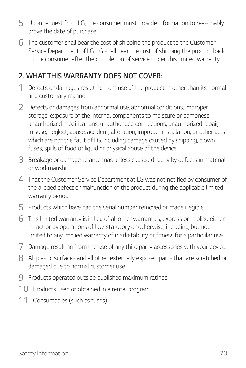- *5 Upon request from LG, the consumer must provide information to reasonably prove the date of purchase.*
- *6 The customer shall bear the cost of shipping the product to the Customer Service Department of LG. LG shall bear the cost of shipping the product back to the consumer after the completion of service under this limited warranty.*

#### *2. WHAT THIS WARRANTY DOES NOT COVER:*

- *1 Defects or damages resulting from use of the product in other than its normal and customary manner.*
- *2 Defects or damages from abnormal use, abnormal conditions, improper storage, exposure of the internal components to moisture or dampness, unauthorized modifications, unauthorized connections, unauthorized repair, misuse, neglect, abuse, accident, alteration, improper installation, or other acts*  which are not the fault of LG, including damage caused by shipping, blown *fuses, spills of food or liquid or physical abuse of the device.*
- *3 Breakage or damage to antennas unless caused directly by defects in material or workmanship.*
- *4 That the Customer Service Department at LG was not notified by consumer of the alleged defect or malfunction of the product during the applicable limited warranty period.*
- *5 Products which have had the serial number removed or made illegible.*
- *6 This limited warranty is in lieu of all other warranties, express or implied either*  in fact or by operations of law, statutory or otherwise, including, but not *limited to any implied warranty of marketability or fitness for a particular use.*
- *7 Damage resulting from the use of any third party accessories with your device.*
- *8 All plastic surfaces and all other externally exposed parts that are scratched or damaged due to normal customer use.*
- *9 Products operated outside published maximum ratings.*
- *10 Products used or obtained in a rental program.*
- *11 Consumables (such as fuses).*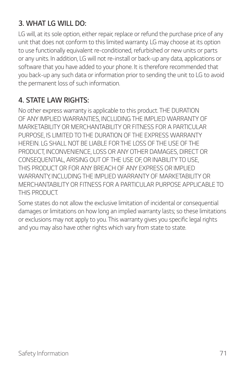## *3. WHAT LG WILL DO:*

LG will, at its sole option, either repair, replace or refund the purchase price of any *unit that does not conform to this limited warranty. LG may choose at its option to use functionally equivalent re-conditioned, refurbished or new units or parts or any units. In addition, LG will not re-install or back-up any data, applications or software that you have added to your phone. It is therefore recommended that you back-up any such data or information prior to sending the unit to LG to avoid the permanent loss of such information.*

### *4. STATE LAW RIGHTS:*

*No other express warranty is applicable to this product. THE DURATION OF ANY IMPLIED WARRANTIES, INCLUDING THE IMPLIED WARRANTY OF MARKETABILITY OR MERCHANTABILITY OR FITNESS FOR A PARTICULAR PURPOSE, IS LIMITED TO THE DURATION OF THE EXPRESS WARRANTY HEREIN. LG SHALL NOT BE LIABLE FOR THE LOSS OF THE USE OF THE PRODUCT, INCONVENIENCE, LOSS OR ANY OTHER DAMAGES, DIRECT OR CONSEQUENTIAL, ARISING OUT OF THE USE OF, OR INABILITY TO USE, THIS PRODUCT OR FOR ANY BREACH OF ANY EXPRESS OR IMPLIED WARRANTY, INCLUDING THE IMPLIED WARRANTY OF MARKETABILITY OR MERCHANTABILITY OR FITNESS FOR A PARTICULAR PURPOSE APPLICABLE TO THIS PRODUCT.*

Some states do not allow the exclusive limitation of incidental or consequential *damages or limitations on how long an implied warranty lasts; so these limitations or exclusions may not apply to you. This warranty gives you specific legal rights and you may also have other rights which vary from state to state.*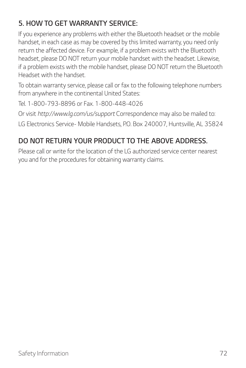# *5. HOW TO GET WARRANTY SERVICE:*

*If you experience any problems with either the Bluetooth headset or the mobile*  handset, in each case as may be covered by this limited warranty, you need only *return the affected device. For example, if a problem exists with the Bluetooth headset, please DO NOT return your mobile handset with the headset. Likewise, if a problem exists with the mobile handset, please DO NOT return the Bluetooth Headset with the handset.* 

*To obtain warranty service, please call or fax to the following telephone numbers from anywhere in the continental United States:* 

*Tel. 1-800-793-8896 or Fax. 1-800-448-4026* 

*Or visit http://www.lg.com/us/support Correspondence may also be mailed to: LG Electronics Service- Mobile Handsets, P.O. Box 240007, Huntsville, AL 35824* 

# *DO NOT RETURN YOUR PRODUCT TO THE ABOVE ADDRESS.*

*Please call or write for the location of the LG authorized service center nearest you and for the procedures for obtaining warranty claims.*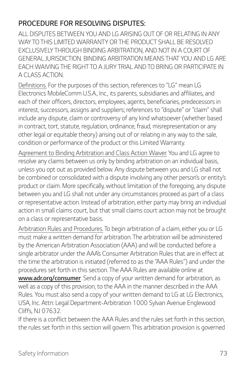### *PROCEDURE FOR RESOLVING DISPUTES:*

*ALL DISPUTES BETWEEN YOU AND LG ARISING OUT OF OR RELATING IN ANY*  WAY TO THIS LIMITED WARRANTY OR THE PRODUCT SHALL BE RESOLVED **EXCLUSIVELY THROUGH BINDING ARBITRATION, AND NOT IN A COURT OF** *GENERAL JURISDICTION. BINDING ARBITRATION MEANS THAT YOU AND LG ARE EACH WAIVING THE RIGHT TO A JURY TRIAL AND TO BRING OR PARTICIPATE IN A CLASS ACTION.*

*Definitions. For the purposes of this section, references to "LG" mean LG Electronics MobileComm U.S.A., Inc., its parents, subsidiaries and affiliates, and*  each of their officers, directors, employees, agents, beneficiaries, predecessors in *interest, successors, assigns and suppliers; references to "dispute" or "claim" shall include any dispute, claim or controversy of any kind whatsoever (whether based in contract, tort, statute, regulation, ordinance, fraud, misrepresentation or any other legal or equitable theory) arising out of or relating in any way to the sale, condition or performance of the product or this Limited Warranty.*

*Agreement to Binding Arbitration and Class Action Waiver. You and LG agree to resolve any claims between us only by binding arbitration on an individual basis, unless you opt out as provided below. Any dispute between you and LG shall not be combined or consolidated with a dispute involving any other person's or entity's product or claim. More specifically, without limitation of the foregoing, any dispute between you and LG shall not under any circumstances proceed as part of a class or representative action. Instead of arbitration, either party may bring an individual action in small claims court, but that small claims court action may not be brought on a class or representative basis.*

*Arbitration Rules and Procedures. To begin arbitration of a claim, either you or LG must make a written demand for arbitration. The arbitration will be administered by the American Arbitration Association (AAA) and will be conducted before a single arbitrator under the AAA's Consumer Arbitration Rules that are in effect at the time the arbitration is initiated (referred to as the "AAA Rules") and under the procedures set forth in this section. The AAA Rules are available online at www.adr.org/consumer. Send a copy of your written demand for arbitration, as well as a copy of this provision, to the AAA in the manner described in the AAA Rules. You must also send a copy of your written demand to LG at LG Electronics, USA, Inc. Attn: Legal Department-Arbitration 1000 Sylvan Avenue Englewood Cliffs, NJ 07632.*

If there is a conflict between the AAA Rules and the rules set forth in this section, *the rules set forth in this section will govern. This arbitration provision is governed*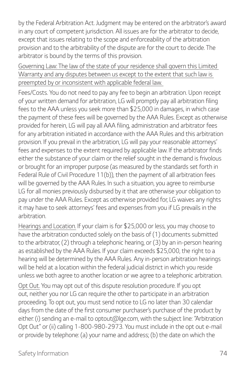*by the Federal Arbitration Act. Judgment may be entered on the arbitrator's award in any court of competent jurisdiction. All issues are for the arbitrator to decide,*  except that issues relating to the scope and enforceability of the arbitration *provision and to the arbitrability of the dispute are for the court to decide. The arbitrator is bound by the terms of this provision.*

*Governing Law: The law of the state of your residence shall govern this Limited Warranty and any disputes between us except to the extent that such law is preempted by or inconsistent with applicable federal law.*

Fees/Costs. You do not need to pay any fee to begin an arbitration. Upon receipt *of your written demand for arbitration, LG will promptly pay all arbitration filing fees to the AAA unless you seek more than \$25,000 in damages, in which case the payment of these fees will be governed by the AAA Rules. Except as otherwise provided for herein, LG will pay all AAA filing, administration and arbitrator fees*  for any arbitration initiated in accordance with the AAA Rules and this arbitration *provision. If you prevail in the arbitration, LG will pay your reasonable attorneys' fees and expenses to the extent required by applicable law. If the arbitrator finds either the substance of your claim or the relief sought in the demand is frivolous or brought for an improper purpose (as measured by the standards set forth in Federal Rule of Civil Procedure 11(b)), then the payment of all arbitration fees will be governed by the AAA Rules. In such a situation, you agree to reimburse*  LG for all monies previously disbursed by it that are otherwise your obligation to *pay under the AAA Rules. Except as otherwise provided for, LG waives any rights it may have to seek attorneys' fees and expenses from you if LG prevails in the arbitration.*

*Hearings and Location. If your claim is for \$25,000 or less, you may choose to have the arbitration conducted solely on the basis of (1) documents submitted to the arbitrator, (2) through a telephonic hearing, or (3) by an in-person hearing as established by the AAA Rules. If your claim exceeds \$25,000, the right to a hearing will be determined by the AAA Rules. Any in-person arbitration hearings will be held at a location within the federal judicial district in which you reside unless we both agree to another location or we agree to a telephonic arbitration.*

*Opt Out. You may opt out of this dispute resolution procedure. If you opt out, neither you nor LG can require the other to participate in an arbitration proceeding. To opt out, you must send notice to LG no later than 30 calendar days from the date of the first consumer purchaser's purchase of the product by either: (i) sending an e-mail to optout@lge.com, with the subject line: "Arbitration Opt Out" or (ii) calling 1-800-980-2973. You must include in the opt out e-mail or provide by telephone: (a) your name and address; (b) the date on which the*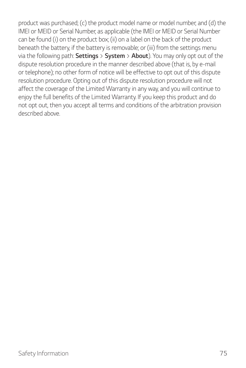*product was purchased; (c) the product model name or model number; and (d) the IMEI or MEID or Serial Number, as applicable (the IMEI or MEID or Serial Number can be found (i) on the product box; (ii) on a label on the back of the product beneath the battery, if the battery is removable; or (iii) from the settings menu via the following path: Settings > System > About). You may only opt out of the*  dispute resolution procedure in the manner described above (that is, by e-mail *or telephone); no other form of notice will be effective to opt out of this dispute*  resolution procedure. Opting out of this dispute resolution procedure will not *affect the coverage of the Limited Warranty in any way, and you will continue to enjoy the full benefits of the Limited Warranty. If you keep this product and do not opt out, then you accept all terms and conditions of the arbitration provision described above.*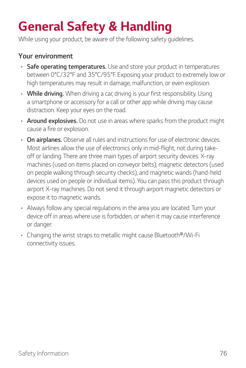# *General Safety & Handling*

*While using your product, be aware of the following safety guidelines.*

#### *Your environment*

- • *Safe operating temperatures. Use and store your product in temperatures between 0°C/32°F and 35°C/95°F. Exposing your product to extremely low or high temperatures may result in damage, malfunction, or even explosion.*
- • *While driving. When driving a car, driving is your first responsibility. Using a smartphone or accessory for a call or other app while driving may cause distraction. Keep your eyes on the road.*
- • *Around explosives. Do not use in areas where sparks from the product might cause a fire or explosion.*
- • *On airplanes. Observe all rules and instructions for use of electronic devices. Most airlines allow the use of electronics only in mid-flight, not during takeoff or landing. There are three main types of airport security devices: X-ray machines (used on items placed on conveyor belts), magnetic detectors (used on people walking through security checks), and magnetic wands (hand-held devices used on people or individual items). You can pass this product through airport X-ray machines. Do not send it through airport magnetic detectors or expose it to magnetic wands.*
- • *Always follow any special regulations in the area you are located. Turn your device off in areas where use is forbidden, or when it may cause interference or danger.*
- • *Changing the wrist straps to metallic might cause Bluetooth®/Wi-Fi connectivity issues.*